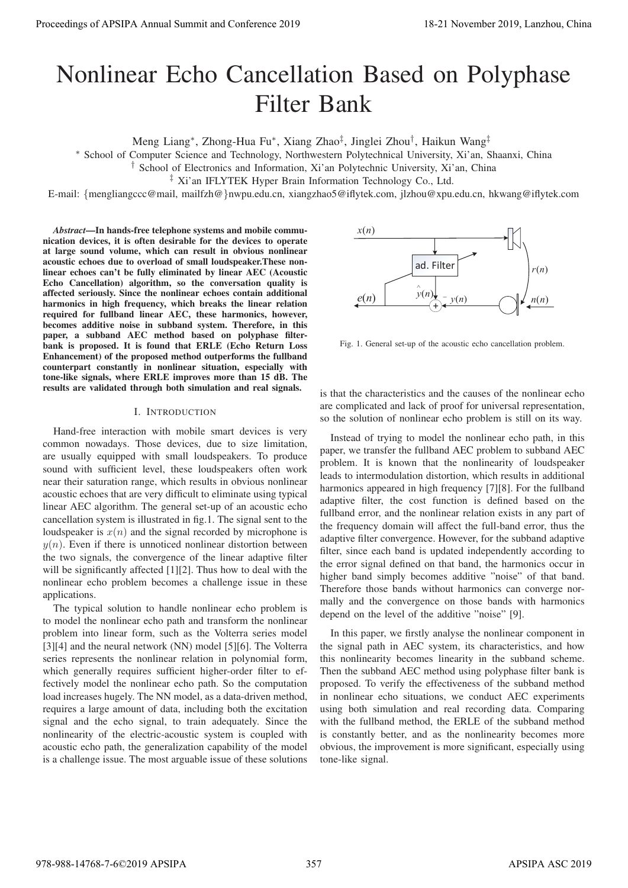# Nonlinear Echo Cancellation Based on Polyphase Filter Bank

Meng Liang∗, Zhong-Hua Fu∗, Xiang Zhao‡, Jinglei Zhou†, Haikun Wang‡

∗ School of Computer Science and Technology, Northwestern Polytechnical University, Xi'an, Shaanxi, China

† School of Electronics and Information, Xi'an Polytechnic University, Xi'an, China

‡ Xi'an IFLYTEK Hyper Brain Information Technology Co., Ltd.

E-mail: {mengliangccc@mail, mailfzh@}nwpu.edu.cn, xiangzhao5@iflytek.com, jlzhou@xpu.edu.cn, hkwang@iflytek.com

*Abstract*—In hands-free telephone systems and mobile communication devices, it is often desirable for the devices to operate at large sound volume, which can result in obvious nonlinear acoustic echoes due to overload of small loudspeaker.These nonlinear echoes can't be fully eliminated by linear AEC (Acoustic Echo Cancellation) algorithm, so the conversation quality is affected seriously. Since the nonlinear echoes contain additional harmonics in high frequency, which breaks the linear relation required for fullband linear AEC, these harmonics, however, becomes additive noise in subband system. Therefore, in this paper, a subband AEC method based on polyphase filterbank is proposed. It is found that ERLE (Echo Return Loss Enhancement) of the proposed method outperforms the fullband counterpart constantly in nonlinear situation, especially with tone-like signals, where ERLE improves more than 15 dB. The results are validated through both simulation and real signals.

### I. INTRODUCTION

Hand-free interaction with mobile smart devices is very common nowadays. Those devices, due to size limitation, are usually equipped with small loudspeakers. To produce sound with sufficient level, these loudspeakers often work near their saturation range, which results in obvious nonlinear acoustic echoes that are very difficult to eliminate using typical linear AEC algorithm. The general set-up of an acoustic echo cancellation system is illustrated in fig.1. The signal sent to the loudspeaker is  $x(n)$  and the signal recorded by microphone is  $y(n)$ . Even if there is unnoticed nonlinear distortion between the two signals, the convergence of the linear adaptive filter will be significantly affected [1][2]. Thus how to deal with the nonlinear echo problem becomes a challenge issue in these applications.

The typical solution to handle nonlinear echo problem is to model the nonlinear echo path and transform the nonlinear problem into linear form, such as the Volterra series model [3][4] and the neural network (NN) model [5][6]. The Volterra series represents the nonlinear relation in polynomial form, which generally requires sufficient higher-order filter to effectively model the nonlinear echo path. So the computation load increases hugely. The NN model, as a data-driven method, requires a large amount of data, including both the excitation signal and the echo signal, to train adequately. Since the nonlinearity of the electric-acoustic system is coupled with acoustic echo path, the generalization capability of the model is a challenge issue. The most arguable issue of these solutions



Fig. 1. General set-up of the acoustic echo cancellation problem.

is that the characteristics and the causes of the nonlinear echo are complicated and lack of proof for universal representation, so the solution of nonlinear echo problem is still on its way.

Instead of trying to model the nonlinear echo path, in this paper, we transfer the fullband AEC problem to subband AEC problem. It is known that the nonlinearity of loudspeaker leads to intermodulation distortion, which results in additional harmonics appeared in high frequency [7][8]. For the fullband adaptive filter, the cost function is defined based on the fullband error, and the nonlinear relation exists in any part of the frequency domain will affect the full-band error, thus the adaptive filter convergence. However, for the subband adaptive filter, since each band is updated independently according to the error signal defined on that band, the harmonics occur in higher band simply becomes additive "noise" of that band. Therefore those bands without harmonics can converge normally and the convergence on those bands with harmonics depend on the level of the additive "noise" [9]. Proceeding of APSIPA Annual Summit at Co-form 2019<br>
November 2019, Conference 2019<br>
November 2019, Conference 2019<br>
November 2019, Conference 2019<br>
November 2019, Conference 2019<br>
November 2019, Conference 2019<br>
November

In this paper, we firstly analyse the nonlinear component in the signal path in AEC system, its characteristics, and how this nonlinearity becomes linearity in the subband scheme. Then the subband AEC method using polyphase filter bank is proposed. To verify the effectiveness of the subband method in nonlinear echo situations, we conduct AEC experiments using both simulation and real recording data. Comparing with the fullband method, the ERLE of the subband method is constantly better, and as the nonlinearity becomes more obvious, the improvement is more significant, especially using tone-like signal.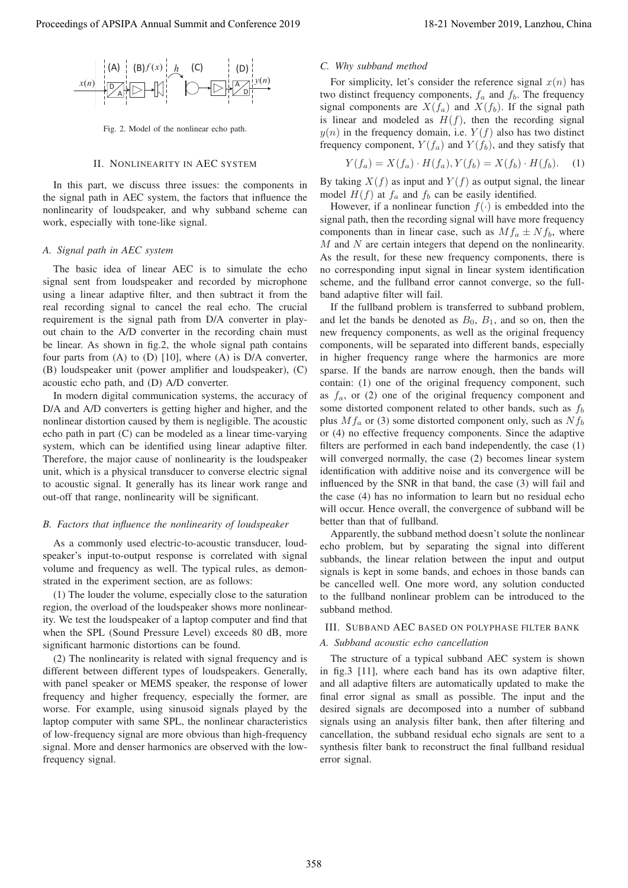

Fig. 2. Model of the nonlinear echo path.

#### II. NONLINEARITY IN AEC SYSTEM

In this part, we discuss three issues: the components in the signal path in AEC system, the factors that influence the nonlinearity of loudspeaker, and why subband scheme can work, especially with tone-like signal.

## *A. Signal path in AEC system*

The basic idea of linear AEC is to simulate the echo signal sent from loudspeaker and recorded by microphone using a linear adaptive filter, and then subtract it from the real recording signal to cancel the real echo. The crucial requirement is the signal path from D/A converter in playout chain to the A/D converter in the recording chain must be linear. As shown in fig.2, the whole signal path contains four parts from  $(A)$  to  $(D)$  [10], where  $(A)$  is  $D/A$  converter, (B) loudspeaker unit (power amplifier and loudspeaker), (C) acoustic echo path, and (D) A/D converter.

In modern digital communication systems, the accuracy of D/A and A/D converters is getting higher and higher, and the nonlinear distortion caused by them is negligible. The acoustic echo path in part (C) can be modeled as a linear time-varying system, which can be identified using linear adaptive filter. Therefore, the major cause of nonlinearity is the loudspeaker unit, which is a physical transducer to converse electric signal to acoustic signal. It generally has its linear work range and out-off that range, nonlinearity will be significant.

## *B. Factors that influence the nonlinearity of loudspeaker*

As a commonly used electric-to-acoustic transducer, loudspeaker's input-to-output response is correlated with signal volume and frequency as well. The typical rules, as demonstrated in the experiment section, are as follows:

(1) The louder the volume, especially close to the saturation region, the overload of the loudspeaker shows more nonlinearity. We test the loudspeaker of a laptop computer and find that when the SPL (Sound Pressure Level) exceeds 80 dB, more significant harmonic distortions can be found.

(2) The nonlinearity is related with signal frequency and is different between different types of loudspeakers. Generally, with panel speaker or MEMS speaker, the response of lower frequency and higher frequency, especially the former, are worse. For example, using sinusoid signals played by the laptop computer with same SPL, the nonlinear characteristics of low-frequency signal are more obvious than high-frequency signal. More and denser harmonics are observed with the lowfrequency signal.

#### *C. Why subband method*

For simplicity, let's consider the reference signal  $x(n)$  has two distinct frequency components,  $f_a$  and  $f_b$ . The frequency signal components are  $X(f_a)$  and  $X(f_b)$ . If the signal path is linear and modeled as  $H(f)$ , then the recording signal  $y(n)$  in the frequency domain, i.e.  $Y(f)$  also has two distinct frequency component,  $Y(f_a)$  and  $Y(f_b)$ , and they satisfy that

$$
Y(f_a) = X(f_a) \cdot H(f_a), Y(f_b) = X(f_b) \cdot H(f_b). \tag{1}
$$

By taking  $X(f)$  as input and  $Y(f)$  as output signal, the linear model  $H(f)$  at  $f_a$  and  $f_b$  can be easily identified.

However, if a nonlinear function  $f(\cdot)$  is embedded into the signal path, then the recording signal will have more frequency components than in linear case, such as  $Mf_a \pm Nf_b$ , where  $M$  and  $N$  are certain integers that depend on the nonlinearity. As the result, for these new frequency components, there is no corresponding input signal in linear system identification scheme, and the fullband error cannot converge, so the fullband adaptive filter will fail.

If the fullband problem is transferred to subband problem, and let the bands be denoted as  $B_0$ ,  $B_1$ , and so on, then the new frequency components, as well as the original frequency components, will be separated into different bands, especially in higher frequency range where the harmonics are more sparse. If the bands are narrow enough, then the bands will contain: (1) one of the original frequency component, such as  $f_a$ , or (2) one of the original frequency component and some distorted component related to other bands, such as  $f_b$ plus  $Mf_a$  or (3) some distorted component only, such as  $Nf_b$ or (4) no effective frequency components. Since the adaptive filters are performed in each band independently, the case (1) will converged normally, the case (2) becomes linear system identification with additive noise and its convergence will be influenced by the SNR in that band, the case (3) will fail and the case (4) has no information to learn but no residual echo will occur. Hence overall, the convergence of subband will be better than that of fullband. Proceeding of APSIPA Annual Summit at Co-Co-co-2019 18-21 November 2019 18-21 November 2019 18-21 November 2019 18-21 November 2019 18-21 November 2019 18-21 November 2019 18-21 November 2019 18-21 November 2019 18-21 Nov

Apparently, the subband method doesn't solute the nonlinear echo problem, but by separating the signal into different subbands, the linear relation between the input and output signals is kept in some bands, and echoes in those bands can be cancelled well. One more word, any solution conducted to the fullband nonlinear problem can be introduced to the subband method.

# III. SUBBAND AEC BASED ON POLYPHASE FILTER BANK

## *A. Subband acoustic echo cancellation*

The structure of a typical subband AEC system is shown in fig.3 [11], where each band has its own adaptive filter, and all adaptive filters are automatically updated to make the final error signal as small as possible. The input and the desired signals are decomposed into a number of subband signals using an analysis filter bank, then after filtering and cancellation, the subband residual echo signals are sent to a synthesis filter bank to reconstruct the final fullband residual error signal.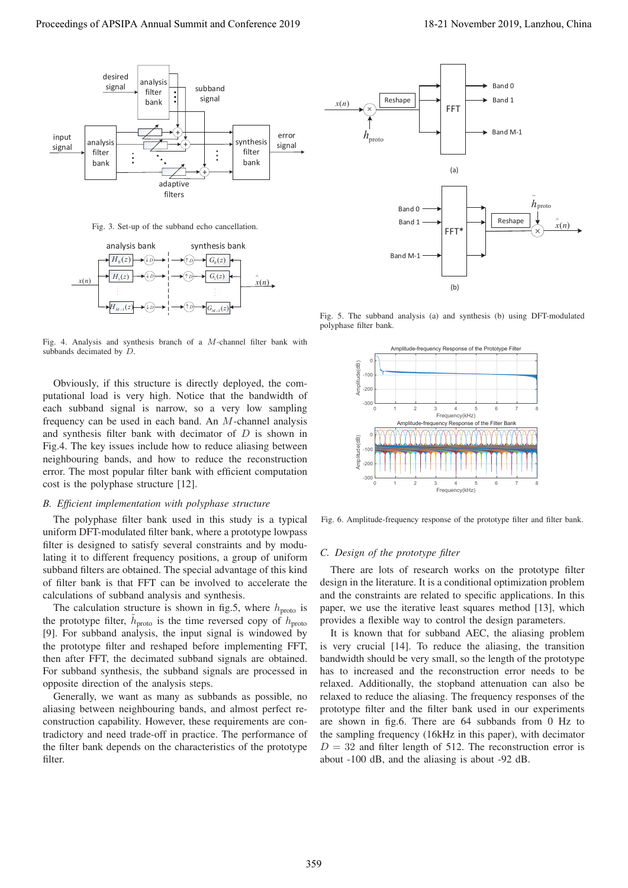

Fig. 3. Set-up of the subband echo cancellation.



Fig. 4. Analysis and synthesis branch of a M-channel filter bank with subbands decimated by D.

Obviously, if this structure is directly deployed, the computational load is very high. Notice that the bandwidth of each subband signal is narrow, so a very low sampling frequency can be used in each band. An M-channel analysis and synthesis filter bank with decimator of D is shown in Fig.4. The key issues include how to reduce aliasing between neighbouring bands, and how to reduce the reconstruction error. The most popular filter bank with efficient computation cost is the polyphase structure [12].

## *B. Efficient implementation with polyphase structure*

The polyphase filter bank used in this study is a typical uniform DFT-modulated filter bank, where a prototype lowpass filter is designed to satisfy several constraints and by modulating it to different frequency positions, a group of uniform subband filters are obtained. The special advantage of this kind of filter bank is that FFT can be involved to accelerate the calculations of subband analysis and synthesis.

The calculation structure is shown in fig.5, where  $h_{\text{proto}}$  is the prototype filter,  $h_{\text{proto}}$  is the time reversed copy of  $h_{\text{proto}}$ [9]. For subband analysis, the input signal is windowed by the prototype filter and reshaped before implementing FFT, then after FFT, the decimated subband signals are obtained. For subband synthesis, the subband signals are processed in opposite direction of the analysis steps.

Generally, we want as many as subbands as possible, no aliasing between neighbouring bands, and almost perfect reconstruction capability. However, these requirements are contradictory and need trade-off in practice. The performance of the filter bank depends on the characteristics of the prototype filter.



Fig. 5. The subband analysis (a) and synthesis (b) using DFT-modulated polyphase filter bank.



Fig. 6. Amplitude-frequency response of the prototype filter and filter bank.

## *C. Design of the prototype filter*

There are lots of research works on the prototype filter design in the literature. It is a conditional optimization problem and the constraints are related to specific applications. In this paper, we use the iterative least squares method [13], which provides a flexible way to control the design parameters.

It is known that for subband AEC, the aliasing problem is very crucial [14]. To reduce the aliasing, the transition bandwidth should be very small, so the length of the prototype has to increased and the reconstruction error needs to be relaxed. Additionally, the stopband attenuation can also be relaxed to reduce the aliasing. The frequency responses of the prototype filter and the filter bank used in our experiments are shown in fig.6. There are 64 subbands from 0 Hz to the sampling frequency (16kHz in this paper), with decimator  $D = 32$  and filter length of 512. The reconstruction error is about -100 dB, and the aliasing is about -92 dB.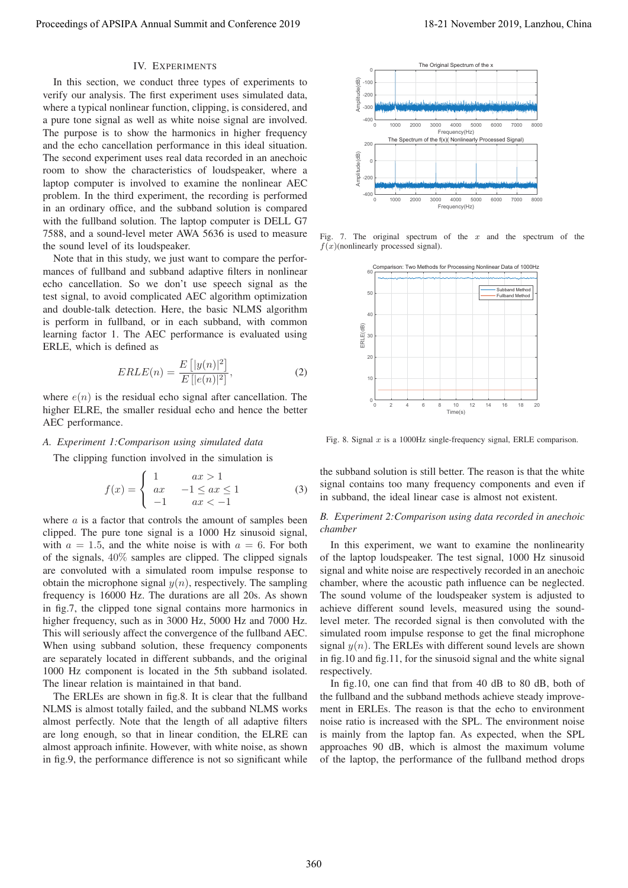### IV. EXPERIMENTS

In this section, we conduct three types of experiments to verify our analysis. The first experiment uses simulated data, where a typical nonlinear function, clipping, is considered, and a pure tone signal as well as white noise signal are involved. The purpose is to show the harmonics in higher frequency and the echo cancellation performance in this ideal situation. The second experiment uses real data recorded in an anechoic room to show the characteristics of loudspeaker, where a laptop computer is involved to examine the nonlinear AEC problem. In the third experiment, the recording is performed in an ordinary office, and the subband solution is compared with the fullband solution. The laptop computer is DELL G7 7588, and a sound-level meter AWA 5636 is used to measure the sound level of its loudspeaker.

Note that in this study, we just want to compare the performances of fullband and subband adaptive filters in nonlinear echo cancellation. So we don't use speech signal as the test signal, to avoid complicated AEC algorithm optimization and double-talk detection. Here, the basic NLMS algorithm is perform in fullband, or in each subband, with common learning factor 1. The AEC performance is evaluated using ERLE, which is defined as

$$
ERLE(n) = \frac{E[|y(n)|^2]}{E[|e(n)|^2]},
$$
\n(2)

where  $e(n)$  is the residual echo signal after cancellation. The heater residual echo and hence the better higher ELRE, the smaller residual echo and hence the better AEC performance.

#### *A. Experiment 1:Comparison using simulated data*

The clipping function involved in the simulation is

$$
f(x) = \begin{cases} 1 & ax > 1 \\ ax & -1 \le ax \le 1 \\ -1 & ax < -1 \end{cases}
$$
 (3)

where  $a$  is a factor that controls the amount of samples been clipped. The pure tone signal is a 1000 Hz sinusoid signal, with  $a = 1.5$ , and the white noise is with  $a = 6$ . For both of the signals, 40% samples are clipped. The clipped signals are convoluted with a simulated room impulse response to obtain the microphone signal  $y(n)$ , respectively. The sampling frequency is 16000 Hz. The durations are all 20s. As shown in fig.7, the clipped tone signal contains more harmonics in higher frequency, such as in 3000 Hz, 5000 Hz and 7000 Hz. This will seriously affect the convergence of the fullband AEC. When using subband solution, these frequency components are separately located in different subbands, and the original 1000 Hz component is located in the 5th subband isolated. The linear relation is maintained in that band. Proceeding of APSIPA Annual Summit and Co-Fisic enc. 2019<br>
Proceedings of APSIPA Annual Summit and Co-Fisic enc. 2019<br>
The discussion of the proceeding of APSIPA Annual Summit and Conference 2019<br>
The second in the discus

The ERLEs are shown in fig.8. It is clear that the fullband NLMS is almost totally failed, and the subband NLMS works almost perfectly. Note that the length of all adaptive filters are long enough, so that in linear condition, the ELRE can almost approach infinite. However, with white noise, as shown in fig.9, the performance difference is not so significant while



Fig. 7. The original spectrum of the  $x$  and the spectrum of the  $f(x)$ (nonlinearly processed signal).



Fig. 8. Signal  $x$  is a 1000Hz single-frequency signal, ERLE comparison.

the subband solution is still better. The reason is that the white signal contains too many frequency components and even if in subband, the ideal linear case is almost not existent.

### *B. Experiment 2:Comparison using data recorded in anechoic chamber*

In this experiment, we want to examine the nonlinearity of the laptop loudspeaker. The test signal, 1000 Hz sinusoid signal and white noise are respectively recorded in an anechoic chamber, where the acoustic path influence can be neglected. The sound volume of the loudspeaker system is adjusted to achieve different sound levels, measured using the soundlevel meter. The recorded signal is then convoluted with the simulated room impulse response to get the final microphone signal  $y(n)$ . The ERLEs with different sound levels are shown in fig.10 and fig.11, for the sinusoid signal and the white signal respectively.

In fig.10, one can find that from 40 dB to 80 dB, both of the fullband and the subband methods achieve steady improvement in ERLEs. The reason is that the echo to environment noise ratio is increased with the SPL. The environment noise is mainly from the laptop fan. As expected, when the SPL approaches 90 dB, which is almost the maximum volume of the laptop, the performance of the fullband method drops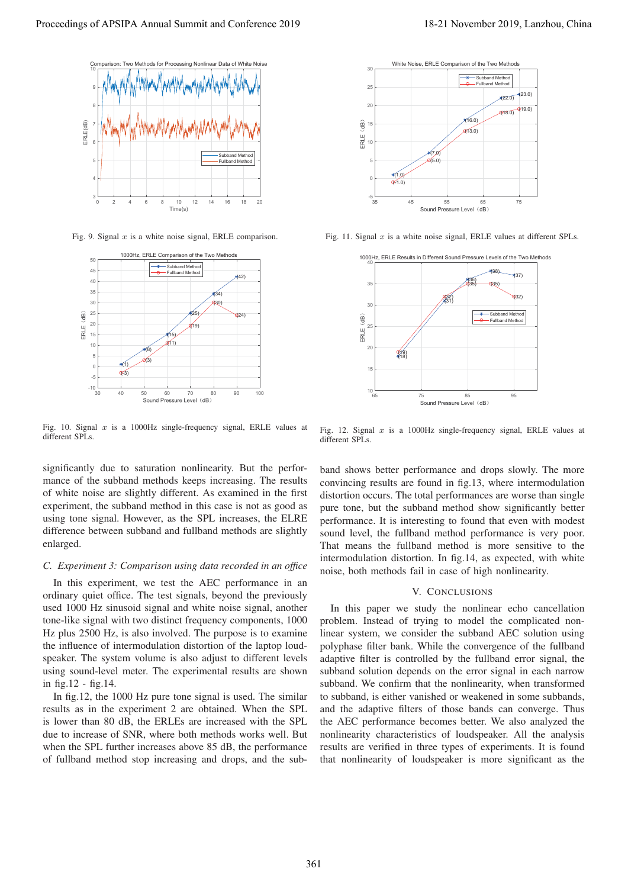

Fig. 9. Signal  $x$  is a white noise signal, ERLE comparison.



Fig. 10. Signal  $x$  is a 1000Hz single-frequency signal, ERLE values at different SPLs.

significantly due to saturation nonlinearity. But the performance of the subband methods keeps increasing. The results of white noise are slightly different. As examined in the first experiment, the subband method in this case is not as good as using tone signal. However, as the SPL increases, the ELRE difference between subband and fullband methods are slightly enlarged.

#### *C. Experiment 3: Comparison using data recorded in an office*

In this experiment, we test the AEC performance in an ordinary quiet office. The test signals, beyond the previously used 1000 Hz sinusoid signal and white noise signal, another tone-like signal with two distinct frequency components, 1000 Hz plus 2500 Hz, is also involved. The purpose is to examine the influence of intermodulation distortion of the laptop loudspeaker. The system volume is also adjust to different levels using sound-level meter. The experimental results are shown in fig.12 - fig.14.

In fig.12, the 1000 Hz pure tone signal is used. The similar results as in the experiment 2 are obtained. When the SPL is lower than 80 dB, the ERLEs are increased with the SPL due to increase of SNR, where both methods works well. But when the SPL further increases above 85 dB, the performance of fullband method stop increasing and drops, and the sub-



Fig. 11. Signal  $x$  is a white noise signal, ERLE values at different SPLs.



Fig. 12. Signal  $x$  is a 1000Hz single-frequency signal, ERLE values at different SPLs.

band shows better performance and drops slowly. The more convincing results are found in fig.13, where intermodulation distortion occurs. The total performances are worse than single pure tone, but the subband method show significantly better performance. It is interesting to found that even with modest sound level, the fullband method performance is very poor. That means the fullband method is more sensitive to the intermodulation distortion. In fig.14, as expected, with white noise, both methods fail in case of high nonlinearity.

#### V. CONCLUSIONS

In this paper we study the nonlinear echo cancellation problem. Instead of trying to model the complicated nonlinear system, we consider the subband AEC solution using polyphase filter bank. While the convergence of the fullband adaptive filter is controlled by the fullband error signal, the subband solution depends on the error signal in each narrow subband. We confirm that the nonlinearity, when transformed to subband, is either vanished or weakened in some subbands, and the adaptive filters of those bands can converge. Thus the AEC performance becomes better. We also analyzed the nonlinearity characteristics of loudspeaker. All the analysis results are verified in three types of experiments. It is found that nonlinearity of loudspeaker is more significant as the Proceeding of APSIPA Annual Summit at Co-ference 2019<br>
Proceedings of APSIPA Annual Summit and Conference 2019<br>
Proceedings of APSIPA Annual Summit and Conference 2019<br>
Proceeding of APSIPA Annual Summit and Conference 20